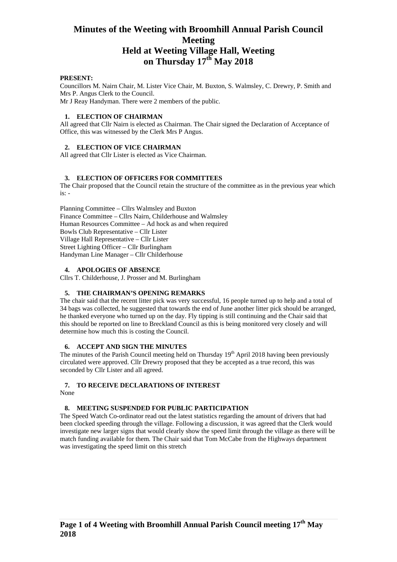# **Minutes of the Weeting with Broomhill Annual Parish Council Meeting Held at Weeting Village Hall, Weeting on Thursday 17th May 2018**

## **PRESENT:**

Councillors M. Nairn Chair, M. Lister Vice Chair, M. Buxton, S. Walmsley, C. Drewry, P. Smith and Mrs P. Angus Clerk to the Council. Mr J Reay Handyman. There were 2 members of the public.

# **1. ELECTION OF CHAIRMAN**

All agreed that Cllr Nairn is elected as Chairman. The Chair signed the Declaration of Acceptance of Office, this was witnessed by the Clerk Mrs P Angus.

## **2. ELECTION OF VICE CHAIRMAN**

All agreed that Cllr Lister is elected as Vice Chairman.

## **3. ELECTION OF OFFICERS FOR COMMITTEES**

The Chair proposed that the Council retain the structure of the committee as in the previous year which is: -

Planning Committee – Cllrs Walmsley and Buxton Finance Committee – Cllrs Nairn, Childerhouse and Walmsley Human Resources Committee – Ad hock as and when required Bowls Club Representative – Cllr Lister Village Hall Representative – Cllr Lister Street Lighting Officer – Cllr Burlingham Handyman Line Manager – Cllr Childerhouse

#### **4. APOLOGIES OF ABSENCE**

Cllrs T. Childerhouse, J. Prosser and M. Burlingham

#### **5. THE CHAIRMAN'S OPENING REMARKS**

The chair said that the recent litter pick was very successful, 16 people turned up to help and a total of 34 bags was collected, he suggested that towards the end of June another litter pick should be arranged, he thanked everyone who turned up on the day. Fly tipping is still continuing and the Chair said that this should be reported on line to Breckland Council as this is being monitored very closely and will determine how much this is costing the Council.

#### **6. ACCEPT AND SIGN THE MINUTES**

The minutes of the Parish Council meeting held on Thursday 19<sup>th</sup> April 2018 having been previously circulated were approved. Cllr Drewry proposed that they be accepted as a true record, this was seconded by Cllr Lister and all agreed.

## **7. TO RECEIVE DECLARATIONS OF INTEREST**

None

#### **8. MEETING SUSPENDED FOR PUBLIC PARTICIPATION**

The Speed Watch Co-ordinator read out the latest statistics regarding the amount of drivers that had been clocked speeding through the village. Following a discussion, it was agreed that the Clerk would investigate new larger signs that would clearly show the speed limit through the village as there will be match funding available for them. The Chair said that Tom McCabe from the Highways department was investigating the speed limit on this stretch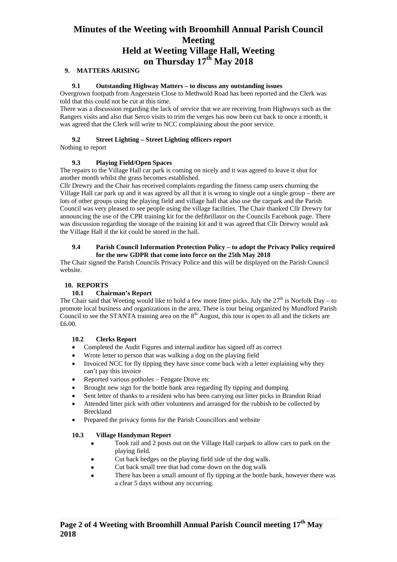# **Minutes of the Weeting with Broomhill Annual Parish Council Meeting Held at Weeting Village Hall, Weeting on Thursday 17th May 2018**

# **9. MATTERS ARISING**

#### **9.1 Outstanding Highway Matters – to discuss any outstanding issues**

Overgrown footpath from Angerstein Close to Methwold Road has been reported and the Clerk was told that this could not be cut at this time.

There was a discussion regarding the lack of service that we are receiving from Highways such as the Rangers visits and also that Serco visits to trim the verges has now been cut back to once a month, it was agreed that the Clerk will write to NCC complaining about the poor service.

#### **9.2 Street Lighting – Street Lighting officers report**

Nothing to report

## **9.3 Playing Field/Open Spaces**

The repairs to the Village Hall car park is coming on nicely and it was agreed to leave it shut for another month whilst the grass becomes established.

Cllr Drewry and the Chair has received complaints regarding the fitness camp users churning the Village Hall car park up and it was agreed by all that it is wrong to single out a single group – there are lots of other groups using the playing field and village hall that also use the carpark and the Parish Council was very pleased to see people using the village facilities. The Chair thanked Cllr Drewry for announcing the use of the CPR training kit for the defibrillator on the Councils Facebook page. There was discussion regarding the storage of the training kit and it was agreed that Cllr Drewry would ask the Village Hall if the kit could be stored in the hall.

#### **9.4 Parish Council Information Protection Policy – to adopt the Privacy Policy required for the new GDPR that come into force on the 25th May 2018**

The Chair signed the Parish Councils Privacy Police and this will be displayed on the Parish Council website.

# **10. REPORTS**

# **10.1 Chairman's Report**

The Chair said that Weeting would like to hold a few more litter picks. July the  $27<sup>th</sup>$  is Norfolk Day – to promote local business and organizations in the area. There is tour being organized by Mundford Parish Council to see the STANTA training area on the  $8<sup>th</sup>$  August, this tour is open to all and the tickets are £6.00.

#### **10.2 Clerks Report**

- Completed the Audit Figures and internal auditor has signed off as correct
- Wrote letter to person that was walking a dog on the playing field
- Invoiced NCC for fly tipping they have since come back with a letter explaining why they can't pay this invoice
- Reported various potholes Fengate Drove etc
- Brought new sign for the bottle bank area regarding fly tipping and dumping
- Sent letter of thanks to a resident who has been carrying out litter picks in Brandon Road
- Attended litter pick with other volunteers and arranged for the rubbish to be collected by Breckland
- Prepared the privacy forms for the Parish Councillors and website

# **10.3 Village Handyman Report**

- Took rail and 2 posts out on the Village Hall carpark to allow cars to park on the playing field.
- Cut back hedges on the playing field side of the dog walk.
- Cut back small tree that had come down on the dog walk
- There has been a small amount of fly tipping at the bottle bank, however there was a clear 5 days without any occurring.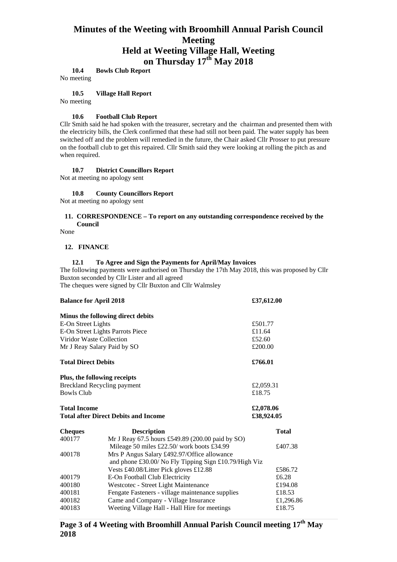# **Minutes of the Weeting with Broomhill Annual Parish Council Meeting Held at Weeting Village Hall, Weeting on Thursday 17th May 2018**

**10.4 Bowls Club Report** 

No meeting

#### **10.5 Village Hall Report**

No meeting

#### **10.6 Football Club Report**

Cllr Smith said he had spoken with the treasurer, secretary and the chairman and presented them with the electricity bills, the Clerk confirmed that these had still not been paid*.* The water supply has been switched off and the problem will remedied in the future, the Chair asked Cllr Prosser to put pressure on the football club to get this repaired. Cllr Smith said they were looking at rolling the pitch as and when required.

#### **10.7 District Councillors Report**

Not at meeting no apology sent

# **10.8 County Councillors Report**

Not at meeting no apology sent

# **11. CORRESPONDENCE – To report on any outstanding correspondence received by the Council**

None

#### **12. FINANCE**

#### **12.1 To Agree and Sign the Payments for April/May Invoices**

The following payments were authorised on Thursday the 17th May 2018, this was proposed by Cllr Buxton seconded by Cllr Lister and all agreed

The cheques were signed by Cllr Buxton and Cllr Walmsley

| <b>Balance for April 2018</b>                           | £37,612.00                                                                                                                                                                                                                                                                                              |                                                                                                                                                                                    |
|---------------------------------------------------------|---------------------------------------------------------------------------------------------------------------------------------------------------------------------------------------------------------------------------------------------------------------------------------------------------------|------------------------------------------------------------------------------------------------------------------------------------------------------------------------------------|
| Minus the following direct debits                       |                                                                                                                                                                                                                                                                                                         |                                                                                                                                                                                    |
| E-On Street Lights                                      |                                                                                                                                                                                                                                                                                                         |                                                                                                                                                                                    |
| E-On Street Lights Parrots Piece                        | £11.64                                                                                                                                                                                                                                                                                                  |                                                                                                                                                                                    |
| Viridor Waste Collection                                | £52.60                                                                                                                                                                                                                                                                                                  |                                                                                                                                                                                    |
| Mr J Reay Salary Paid by SO                             |                                                                                                                                                                                                                                                                                                         |                                                                                                                                                                                    |
| <b>Total Direct Debits</b>                              |                                                                                                                                                                                                                                                                                                         |                                                                                                                                                                                    |
| Plus, the following receipts                            |                                                                                                                                                                                                                                                                                                         |                                                                                                                                                                                    |
| <b>Breckland Recycling payment</b><br><b>Bowls Club</b> |                                                                                                                                                                                                                                                                                                         |                                                                                                                                                                                    |
|                                                         | £18.75                                                                                                                                                                                                                                                                                                  |                                                                                                                                                                                    |
| <b>Total Income</b>                                     |                                                                                                                                                                                                                                                                                                         |                                                                                                                                                                                    |
|                                                         |                                                                                                                                                                                                                                                                                                         |                                                                                                                                                                                    |
| <b>Description</b>                                      |                                                                                                                                                                                                                                                                                                         | <b>Total</b>                                                                                                                                                                       |
|                                                         |                                                                                                                                                                                                                                                                                                         |                                                                                                                                                                                    |
| Mileage 50 miles £22.50/ work boots £34.99              |                                                                                                                                                                                                                                                                                                         | £407.38                                                                                                                                                                            |
|                                                         |                                                                                                                                                                                                                                                                                                         |                                                                                                                                                                                    |
|                                                         |                                                                                                                                                                                                                                                                                                         |                                                                                                                                                                                    |
|                                                         |                                                                                                                                                                                                                                                                                                         | £586.72                                                                                                                                                                            |
|                                                         |                                                                                                                                                                                                                                                                                                         | £6.28                                                                                                                                                                              |
|                                                         |                                                                                                                                                                                                                                                                                                         | £194.08                                                                                                                                                                            |
| Fengate Fasteners - village maintenance supplies        |                                                                                                                                                                                                                                                                                                         | £18.53                                                                                                                                                                             |
|                                                         |                                                                                                                                                                                                                                                                                                         | £1,296.86                                                                                                                                                                          |
|                                                         |                                                                                                                                                                                                                                                                                                         | £18.75                                                                                                                                                                             |
|                                                         | <b>Total after Direct Debits and Income</b><br>Mrs P Angus Salary £492.97/Office allowance<br>Vests £40.08/Litter Pick gloves £12.88<br>E-On Football Club Electricity<br>Westcotec - Street Light Maintenance<br>Came and Company - Village Insurance<br>Weeting Village Hall - Hall Hire for meetings | £501.77<br>£200.00<br>£766.01<br>£2,059.31<br>£2,078.06<br>£38,924.05<br>Mr J Reay 67.5 hours £549.89 (200.00 paid by SO)<br>and phone £30.00/ No Fly Tipping Sign £10.79/High Viz |